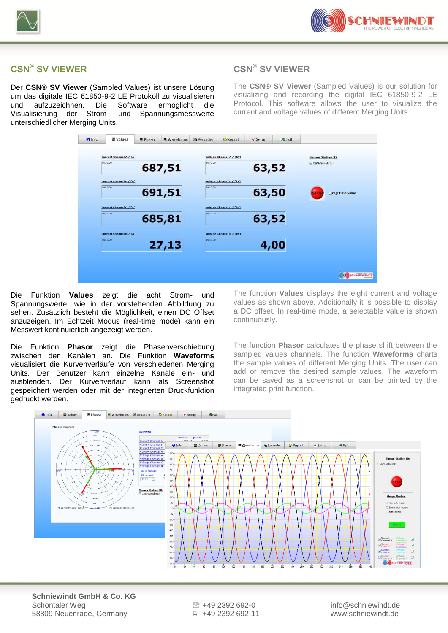



## **CSN® SV VIEWER**

Der **CSN® SV Viewer** (Sampled Values) ist unsere Lösung um das digitale IEC 61850-9-2 LE Protokoll zu visualisieren und aufzuzeichnen. Die Software ermöglicht die Visualisierung der Strom- und Spannungsmesswerte unterschiedlicher Merging Units.

## **CSN® SV VIEWER**

The **CSN® SV Viewer** (Sampled Values) is our solution for visualizing and recording the digital IEC 61850-9-2 LE Protocol. This software allows the user to visualize the current and voltage values of different Merging Units.



Die Funktion **Values** zeigt die acht Strom- und Spannungswerte, wie in der vorstehenden Abbildung zu sehen. Zusätzlich besteht die Möglichkeit, einen DC Offset anzuzeigen. Im Echtzeit Modus (real-time mode) kann ein Messwert kontinuierlich angezeigt werden.

Die Funktion **Phasor** zeigt die Phasenverschiebung zwischen den Kanälen an. Die Funktion **Waveforms** visualisiert die Kurvenverläufe von verschiedenen Merging Units. Der Benutzer kann einzelne Kanäle ein- und ausblenden. Der Kurvenverlauf kann als Screenshot gespeichert werden oder mit der integrierten Druckfunktion gedruckt werden.

The function **Values** displays the eight current and voltage values as shown above. Additionally it is possible to display a DC offset. In real-time mode, a selectable value is shown continuously.

The function **Phasor** calculates the phase shift between the sampled values channels. The function **Waveforms** charts the sample values of different Merging Units. The user can add or remove the desired sample values. The waveform can be saved as a screenshot or can be printed by the integrated print function.